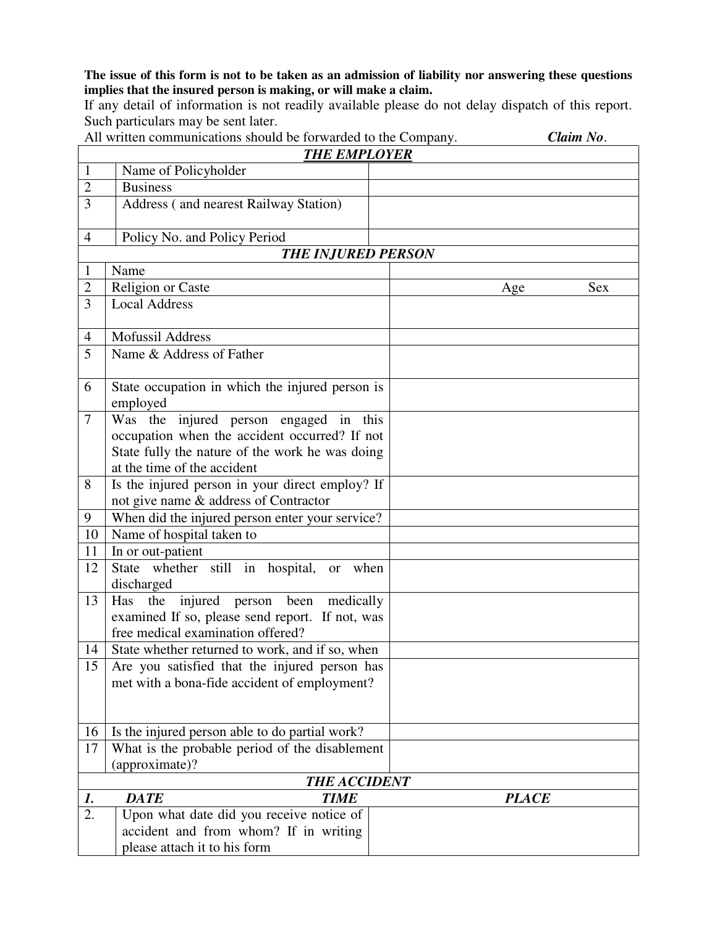**The issue of this form is not to be taken as an admission of liability nor answering these questions implies that the insured person is making, or will make a claim.** 

If any detail of information is not readily available please do not delay dispatch of this report. Such particulars may be sent later.

All written communications should be forwarded to the Company. *Claim No*.

|                     | <b>THE EMPLOYER</b>                                              |                   |  |  |  |  |  |
|---------------------|------------------------------------------------------------------|-------------------|--|--|--|--|--|
| $\mathbf{1}$        | Name of Policyholder                                             |                   |  |  |  |  |  |
| $\overline{2}$      | <b>Business</b>                                                  |                   |  |  |  |  |  |
| 3                   | Address (and nearest Railway Station)                            |                   |  |  |  |  |  |
| $\overline{4}$      | Policy No. and Policy Period                                     |                   |  |  |  |  |  |
|                     | <b>THE INJURED PERSON</b>                                        |                   |  |  |  |  |  |
| $\mathbf{1}$        | Name                                                             |                   |  |  |  |  |  |
| $\overline{2}$      | Religion or Caste                                                | <b>Sex</b><br>Age |  |  |  |  |  |
| 3                   | <b>Local Address</b>                                             |                   |  |  |  |  |  |
| $\overline{4}$      | <b>Mofussil Address</b>                                          |                   |  |  |  |  |  |
| 5                   | Name & Address of Father                                         |                   |  |  |  |  |  |
| 6                   | State occupation in which the injured person is<br>employed      |                   |  |  |  |  |  |
| $\overline{7}$      | Was the injured person engaged in this                           |                   |  |  |  |  |  |
|                     | occupation when the accident occurred? If not                    |                   |  |  |  |  |  |
|                     | State fully the nature of the work he was doing                  |                   |  |  |  |  |  |
|                     | at the time of the accident                                      |                   |  |  |  |  |  |
| 8                   | Is the injured person in your direct employ? If                  |                   |  |  |  |  |  |
|                     | not give name & address of Contractor                            |                   |  |  |  |  |  |
| 9                   | When did the injured person enter your service?                  |                   |  |  |  |  |  |
| 10                  | Name of hospital taken to                                        |                   |  |  |  |  |  |
| 11                  | In or out-patient                                                |                   |  |  |  |  |  |
| 12                  | State whether still in hospital, or<br>when<br>discharged        |                   |  |  |  |  |  |
| 13                  | Has the injured person been medically                            |                   |  |  |  |  |  |
|                     | examined If so, please send report. If not, was                  |                   |  |  |  |  |  |
|                     | free medical examination offered?                                |                   |  |  |  |  |  |
| 14                  | State whether returned to work, and if so, when                  |                   |  |  |  |  |  |
| 15                  | Are you satisfied that the injured person has                    |                   |  |  |  |  |  |
|                     | met with a bona-fide accident of employment?                     |                   |  |  |  |  |  |
|                     |                                                                  |                   |  |  |  |  |  |
|                     |                                                                  |                   |  |  |  |  |  |
| 16                  | Is the injured person able to do partial work?                   |                   |  |  |  |  |  |
| 17                  | What is the probable period of the disablement<br>(approximate)? |                   |  |  |  |  |  |
| <b>THE ACCIDENT</b> |                                                                  |                   |  |  |  |  |  |
| 1.                  | <b>DATE</b><br><b>TIME</b>                                       | <b>PLACE</b>      |  |  |  |  |  |
| 2.                  | Upon what date did you receive notice of                         |                   |  |  |  |  |  |
|                     | accident and from whom? If in writing                            |                   |  |  |  |  |  |
|                     | please attach it to his form                                     |                   |  |  |  |  |  |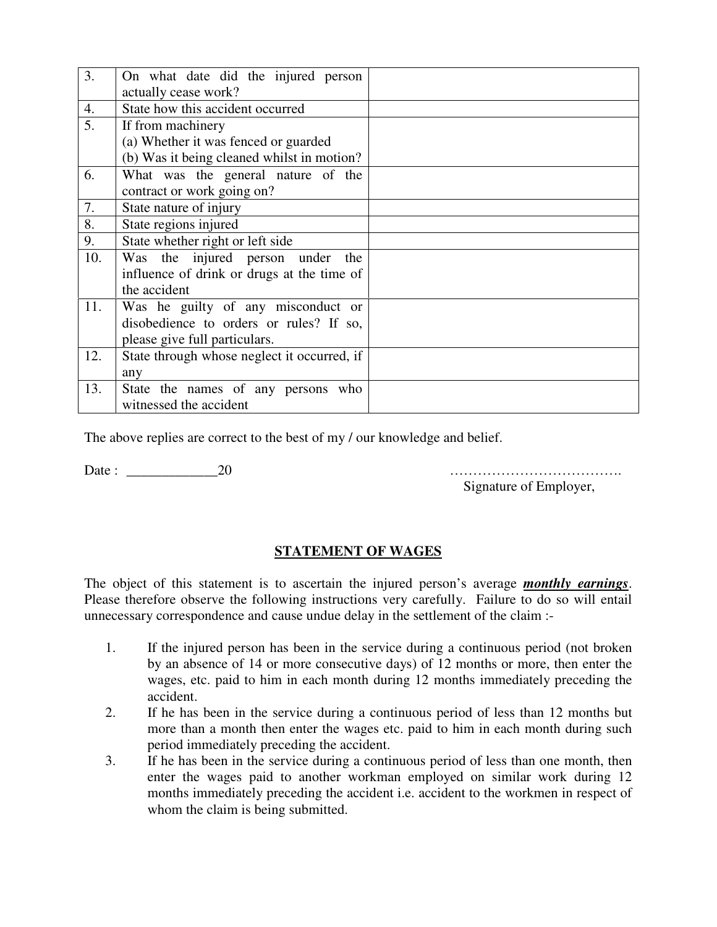| 3.  | On what date did the injured person<br>actually cease work? |  |
|-----|-------------------------------------------------------------|--|
| 4.  | State how this accident occurred                            |  |
| 5.  | If from machinery                                           |  |
|     | (a) Whether it was fenced or guarded                        |  |
|     | (b) Was it being cleaned whilst in motion?                  |  |
| 6.  | What was the general nature of the                          |  |
|     | contract or work going on?                                  |  |
| 7.  | State nature of injury                                      |  |
| 8.  | State regions injured                                       |  |
| 9.  | State whether right or left side                            |  |
| 10. | Was the injured person under<br>the                         |  |
|     | influence of drink or drugs at the time of                  |  |
|     | the accident                                                |  |
| 11. | Was he guilty of any misconduct or                          |  |
|     | disobedience to orders or rules? If so,                     |  |
|     | please give full particulars.                               |  |
| 12. | State through whose neglect it occurred, if                 |  |
|     | any                                                         |  |
| 13. | State the names of any persons who                          |  |
|     | witnessed the accident                                      |  |

The above replies are correct to the best of my / our knowledge and belief.

Date : \_\_\_\_\_\_\_\_\_\_\_\_\_20 ……………………………….

Signature of Employer,

## **STATEMENT OF WAGES**

The object of this statement is to ascertain the injured person's average *monthly earnings*. Please therefore observe the following instructions very carefully. Failure to do so will entail unnecessary correspondence and cause undue delay in the settlement of the claim :-

- 1. If the injured person has been in the service during a continuous period (not broken by an absence of 14 or more consecutive days) of 12 months or more, then enter the wages, etc. paid to him in each month during 12 months immediately preceding the accident.
- 2. If he has been in the service during a continuous period of less than 12 months but more than a month then enter the wages etc. paid to him in each month during such period immediately preceding the accident.
- 3. If he has been in the service during a continuous period of less than one month, then enter the wages paid to another workman employed on similar work during 12 months immediately preceding the accident i.e. accident to the workmen in respect of whom the claim is being submitted.